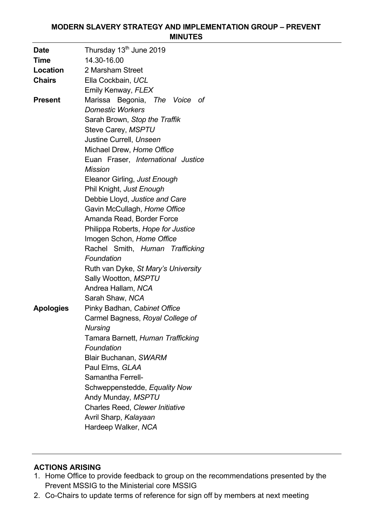### **MODERN SLAVERY STRATEGY AND IMPLEMENTATION GROUP – PREVENT MINUTES**

| <b>Date</b>      | Thursday 13 <sup>th</sup> June 2019 |
|------------------|-------------------------------------|
| <b>Time</b>      | 14.30-16.00                         |
| Location         | 2 Marsham Street                    |
| <b>Chairs</b>    | Ella Cockbain, UCL                  |
|                  | Emily Kenway, FLEX                  |
| <b>Present</b>   | Marissa Begonia, The Voice of       |
|                  | <b>Domestic Workers</b>             |
|                  | Sarah Brown, Stop the Traffik       |
|                  | Steve Carey, MSPTU                  |
|                  | Justine Currell, Unseen             |
|                  | Michael Drew, Home Office           |
|                  | Euan Fraser, International Justice  |
|                  | <b>Mission</b>                      |
|                  | Eleanor Girling, Just Enough        |
|                  | Phil Knight, Just Enough            |
|                  | Debbie Lloyd, Justice and Care      |
|                  | Gavin McCullagh, Home Office        |
|                  | Amanda Read, Border Force           |
|                  | Philippa Roberts, Hope for Justice  |
|                  | Imogen Schon, Home Office           |
|                  | Rachel Smith, Human Trafficking     |
|                  | Foundation                          |
|                  | Ruth van Dyke, St Mary's University |
|                  | Sally Wootton, MSPTU                |
|                  | Andrea Hallam, NCA                  |
|                  | Sarah Shaw, NCA                     |
| <b>Apologies</b> | Pinky Badhan, Cabinet Office        |
|                  | Carmel Bagness, Royal College of    |
|                  | <b>Nursing</b>                      |
|                  | Tamara Barnett, Human Trafficking   |
|                  | Foundation                          |
|                  | Blair Buchanan, SWARM               |
|                  | Paul Elms, GLAA                     |
|                  | Samantha Ferrell-                   |
|                  | Schweppenstedde, Equality Now       |
|                  | Andy Munday, MSPTU                  |
|                  | Charles Reed, Clewer Initiative     |
|                  | Avril Sharp, Kalayaan               |
|                  | Hardeep Walker, NCA                 |

## **ACTIONS ARISING**

- 1. Home Office to provide feedback to group on the recommendations presented by the Prevent MSSIG to the Ministerial core MSSIG
- 2. Co-Chairs to update terms of reference for sign off by members at next meeting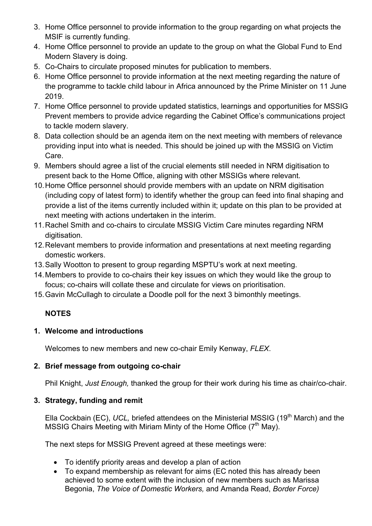- 3. Home Office personnel to provide information to the group regarding on what projects the MSIF is currently funding.
- 4. Home Office personnel to provide an update to the group on what the Global Fund to End Modern Slavery is doing.
- 5. Co-Chairs to circulate proposed minutes for publication to members.
- 6. Home Office personnel to provide information at the next meeting regarding the nature of the programme to tackle child labour in Africa announced by the Prime Minister on 11 June 2019.
- 7. Home Office personnel to provide updated statistics, learnings and opportunities for MSSIG Prevent members to provide advice regarding the Cabinet Office's communications project to tackle modern slavery.
- 8. Data collection should be an agenda item on the next meeting with members of relevance providing input into what is needed. This should be joined up with the MSSIG on Victim Care.
- 9. Members should agree a list of the crucial elements still needed in NRM digitisation to present back to the Home Office, aligning with other MSSIGs where relevant.
- 10.Home Office personnel should provide members with an update on NRM digitisation (including copy of latest form) to identify whether the group can feed into final shaping and provide a list of the items currently included within it; update on this plan to be provided at next meeting with actions undertaken in the interim.
- 11.Rachel Smith and co-chairs to circulate MSSIG Victim Care minutes regarding NRM digitisation.
- 12.Relevant members to provide information and presentations at next meeting regarding domestic workers.
- 13.Sally Wootton to present to group regarding MSPTU's work at next meeting.
- 14.Members to provide to co-chairs their key issues on which they would like the group to focus; co-chairs will collate these and circulate for views on prioritisation.
- 15.Gavin McCullagh to circulate a Doodle poll for the next 3 bimonthly meetings.

# **NOTES**

## **1. Welcome and introductions**

Welcomes to new members and new co-chair Emily Kenway, *FLEX*.

## **2. Brief message from outgoing co-chair**

Phil Knight, *Just Enough,* thanked the group for their work during his time as chair/co-chair.

## **3. Strategy, funding and remit**

Ella Cockbain (EC), *UCL*, briefed attendees on the Ministerial MSSIG (19<sup>th</sup> March) and the MSSIG Chairs Meeting with Miriam Minty of the Home Office  $(7<sup>th</sup>$  May).

The next steps for MSSIG Prevent agreed at these meetings were:

- To identify priority areas and develop a plan of action
- To expand membership as relevant for aims (EC noted this has already been achieved to some extent with the inclusion of new members such as Marissa Begonia, *The Voice of Domestic Workers,* and Amanda Read, *Border Force)*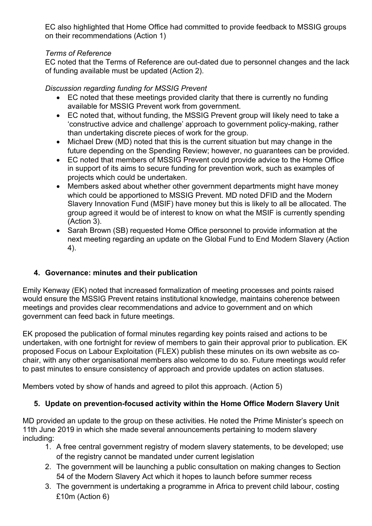EC also highlighted that Home Office had committed to provide feedback to MSSIG groups on their recommendations (Action 1)

## *Terms of Reference*

EC noted that the Terms of Reference are out-dated due to personnel changes and the lack of funding available must be updated (Action 2).

## *Discussion regarding funding for MSSIG Prevent*

- EC noted that these meetings provided clarity that there is currently no funding available for MSSIG Prevent work from government.
- EC noted that, without funding, the MSSIG Prevent group will likely need to take a 'constructive advice and challenge' approach to government policy-making, rather than undertaking discrete pieces of work for the group.
- Michael Drew (MD) noted that this is the current situation but may change in the future depending on the Spending Review; however, no guarantees can be provided.
- EC noted that members of MSSIG Prevent could provide advice to the Home Office in support of its aims to secure funding for prevention work, such as examples of projects which could be undertaken.
- Members asked about whether other government departments might have money which could be apportioned to MSSIG Prevent. MD noted DFID and the Modern Slavery Innovation Fund (MSIF) have money but this is likely to all be allocated. The group agreed it would be of interest to know on what the MSIF is currently spending (Action 3).
- Sarah Brown (SB) requested Home Office personnel to provide information at the next meeting regarding an update on the Global Fund to End Modern Slavery (Action 4).

# **4. Governance: minutes and their publication**

Emily Kenway (EK) noted that increased formalization of meeting processes and points raised would ensure the MSSIG Prevent retains institutional knowledge, maintains coherence between meetings and provides clear recommendations and advice to government and on which government can feed back in future meetings.

EK proposed the publication of formal minutes regarding key points raised and actions to be undertaken, with one fortnight for review of members to gain their approval prior to publication. EK proposed Focus on Labour Exploitation (FLEX) publish these minutes on its own website as cochair, with any other organisational members also welcome to do so. Future meetings would refer to past minutes to ensure consistency of approach and provide updates on action statuses.

Members voted by show of hands and agreed to pilot this approach. (Action 5)

# **5. Update on prevention-focused activity within the Home Office Modern Slavery Unit**

MD provided an update to the group on these activities. He noted the Prime Minister's speech on 11th June 2019 in which she made several announcements pertaining to modern slavery including:

- 1. A free central government registry of modern slavery statements, to be developed; use of the registry cannot be mandated under current legislation
- 2. The government will be launching a public consultation on making changes to Section 54 of the Modern Slavery Act which it hopes to launch before summer recess
- 3. The government is undertaking a programme in Africa to prevent child labour, costing £10m (Action 6)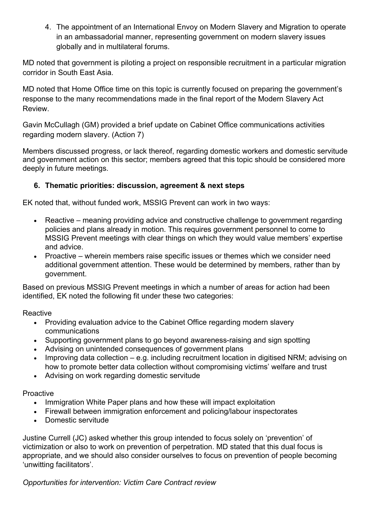4. The appointment of an International Envoy on Modern Slavery and Migration to operate in an ambassadorial manner, representing government on modern slavery issues globally and in multilateral forums.

MD noted that government is piloting a project on responsible recruitment in a particular migration corridor in South East Asia.

MD noted that Home Office time on this topic is currently focused on preparing the government's response to the many recommendations made in the final report of the Modern Slavery Act Review.

Gavin McCullagh (GM) provided a brief update on Cabinet Office communications activities regarding modern slavery. (Action 7)

Members discussed progress, or lack thereof, regarding domestic workers and domestic servitude and government action on this sector; members agreed that this topic should be considered more deeply in future meetings.

## **6. Thematic priorities: discussion, agreement & next steps**

EK noted that, without funded work, MSSIG Prevent can work in two ways:

- Reactive meaning providing advice and constructive challenge to government regarding policies and plans already in motion. This requires government personnel to come to MSSIG Prevent meetings with clear things on which they would value members' expertise and advice.
- Proactive wherein members raise specific issues or themes which we consider need additional government attention. These would be determined by members, rather than by government.

Based on previous MSSIG Prevent meetings in which a number of areas for action had been identified, EK noted the following fit under these two categories:

**Reactive** 

- Providing evaluation advice to the Cabinet Office regarding modern slavery communications
- Supporting government plans to go beyond awareness-raising and sign spotting
- Advising on unintended consequences of government plans
- Improving data collection e.g. including recruitment location in digitised NRM; advising on how to promote better data collection without compromising victims' welfare and trust
- Advising on work regarding domestic servitude

## Proactive

- Immigration White Paper plans and how these will impact exploitation
- Firewall between immigration enforcement and policing/labour inspectorates
- Domestic servitude

Justine Currell (JC) asked whether this group intended to focus solely on 'prevention' of victimization or also to work on prevention of perpetration. MD stated that this dual focus is appropriate, and we should also consider ourselves to focus on prevention of people becoming 'unwitting facilitators'.

*Opportunities for intervention: Victim Care Contract review*